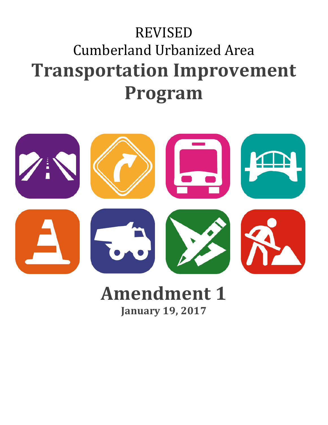# REVISED Cumberland Urbanized Area **Transportation Improvement Program**



# **Amendment 1 January 19, 2017**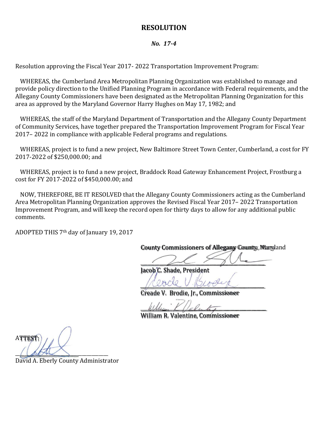### **RESOLUTION**

#### *No. 17-4*

Resolution approving the Fiscal Year 2017- 2022 Transportation Improvement Program:

WHEREAS, the Cumberland Area Metropolitan Planning Organization was established to manage and provide policy direction to the Unified Planning Program in accordance with Federal requirements, and the Allegany County Commissioners have been designated as the Metropolitan Planning Organization for this area as approved by the Maryland Governor Harry Hughes on May 17, 1982; and

WHEREAS, the staff of the Maryland Department of Transportation and the Allegany County Department of Community Services, have together prepared the Transportation Improvement Program for Fiscal Year 2017– 2022 in compliance with applicable Federal programs and regulations.

WHEREAS, project is to fund a new project, New Baltimore Street Town Center, Cumberland, a cost for FY 2017-2022 of \$250,000.00; and

WHEREAS, project is to fund a new project, Braddock Road Gateway Enhancement Project, Frostburg a cost for FY 2017-2022 of \$450,000.00; and

NOW, THEREFORE, BE IT RESOLVED that the Allegany County Commissioners acting as the Cumberland Area Metropolitan Planning Organization approves the Revised Fiscal Year 2017– 2022 Transportation Improvement Program, and will keep the record open for thirty days to allow for any additional public comments.

ADOPTED THIS 7th day of January 19, 2017

County Commissioners of Allegany County, Maryland

 $\overline{\phantom{a}}$ 

Jacob C. Shade, President

*\_\_\_\_\_\_\_\_\_\_\_\_\_\_\_\_\_\_\_\_\_\_\_\_\_\_\_\_\_\_\_\_\_\_\_\_\_\_\_\_\_\_\_\_\_\_\_\_\_\_\_\_*

Creade V. Brodie, Jr., Commissioner

 $M$ llum  $\ell$  /alumber

William R. Valentine, Commissioner

ATTEST:  $\sqrt{2\pi\Delta\Delta}$ 

David A. Eberly County Administrator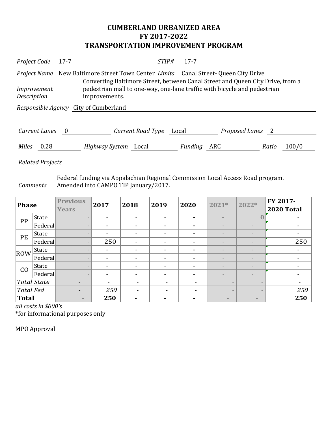## **CUMBERLAND URBANIZED AREA FY 2017-2022 TRANSPORTATION IMPROVEMENT PROGRAM**

| Project Code                                 | $17 - 7$                                                                                                                                                                    |                                                                                                   | STIP#                   | $17 - 7$    |                  |       |       |  |  |
|----------------------------------------------|-----------------------------------------------------------------------------------------------------------------------------------------------------------------------------|---------------------------------------------------------------------------------------------------|-------------------------|-------------|------------------|-------|-------|--|--|
|                                              |                                                                                                                                                                             | <i>Project Name</i> New Baltimore Street Town Center <i>Limits</i> Canal Street- Queen City Drive |                         |             |                  |       |       |  |  |
| Improvement<br>Description                   | Converting Baltimore Street, between Canal Street and Queen City Drive, from a<br>pedestrian mall to one-way, one-lane traffic with bicycle and pedestrian<br>improvements. |                                                                                                   |                         |             |                  |       |       |  |  |
| <i>Responsible Agency</i> City of Cumberland |                                                                                                                                                                             |                                                                                                   |                         |             |                  |       |       |  |  |
|                                              |                                                                                                                                                                             |                                                                                                   |                         |             |                  |       |       |  |  |
| <b>Current Lanes</b>                         | $\overline{\phantom{0}}$                                                                                                                                                    |                                                                                                   | Current Road Type Local |             | Proposed Lanes 2 |       |       |  |  |
| Miles<br>0.28                                |                                                                                                                                                                             | <i>Highway System</i> Local                                                                       |                         | Funding ARC |                  | Ratio | 100/0 |  |  |
| <b>Related Projects</b>                      |                                                                                                                                                                             |                                                                                                   |                         |             |                  |       |       |  |  |

*Comments* Federal funding via Appalachian Regional Commission Local Access Road program. Amended into CAMPO TIP January/2017.

| <b>Phase</b>     |                    | <b>Previous</b><br><b>Years</b> | 2017                     | 2018                     | 2019                     | 2020                     | 2021*                        | 2022*                           | FY 2017-<br><b>2020 Total</b> |
|------------------|--------------------|---------------------------------|--------------------------|--------------------------|--------------------------|--------------------------|------------------------------|---------------------------------|-------------------------------|
| PP               | <b>State</b>       |                                 | $\overline{\phantom{a}}$ | $\overline{\phantom{a}}$ |                          | $\blacksquare$           | $\equiv$                     | U                               |                               |
|                  | Federal            |                                 | $\overline{\phantom{0}}$ | $\blacksquare$           |                          | $\blacksquare$           |                              |                                 |                               |
| PE               | <b>State</b>       |                                 | $\overline{\phantom{a}}$ | $\overline{\phantom{a}}$ | $\overline{\phantom{0}}$ | $\blacksquare$           |                              |                                 |                               |
|                  | Federal            |                                 | 250                      | $\blacksquare$           |                          |                          | $\overline{\phantom{a}}$     |                                 | 250                           |
| ROW              | <b>State</b>       |                                 |                          | $\overline{\phantom{a}}$ |                          | ۰                        | $\overline{\phantom{a}}$     |                                 |                               |
|                  | Federal            |                                 | $\overline{\phantom{0}}$ | $\overline{\phantom{a}}$ |                          | ۰                        | $\qquad \qquad \blacksquare$ | $\hspace{0.1mm}-\hspace{0.1mm}$ |                               |
| CO               | <b>State</b>       | $\qquad \qquad$                 | $\overline{\phantom{a}}$ | $\overline{\phantom{a}}$ |                          | ۰                        | $\qquad \qquad \blacksquare$ | $\overline{\phantom{a}}$        |                               |
|                  | Federal            |                                 |                          | $\overline{\phantom{a}}$ |                          | ۰                        |                              |                                 |                               |
|                  | <b>Total State</b> | $\overline{\phantom{0}}$        | $\overline{\phantom{a}}$ | $\overline{\phantom{a}}$ |                          | $\overline{\phantom{a}}$ |                              |                                 | $\overline{\phantom{a}}$      |
| <b>Total Fed</b> |                    |                                 | 250                      |                          |                          | $\overline{\phantom{0}}$ |                              |                                 | 250                           |
| Total            |                    | $\sim$                          | 250                      | ۰                        |                          | $\blacksquare$           | $\equiv$                     | $\sim$                          | 250                           |

*all costs in \$000's*

\*for informational purposes only

MPO Approval